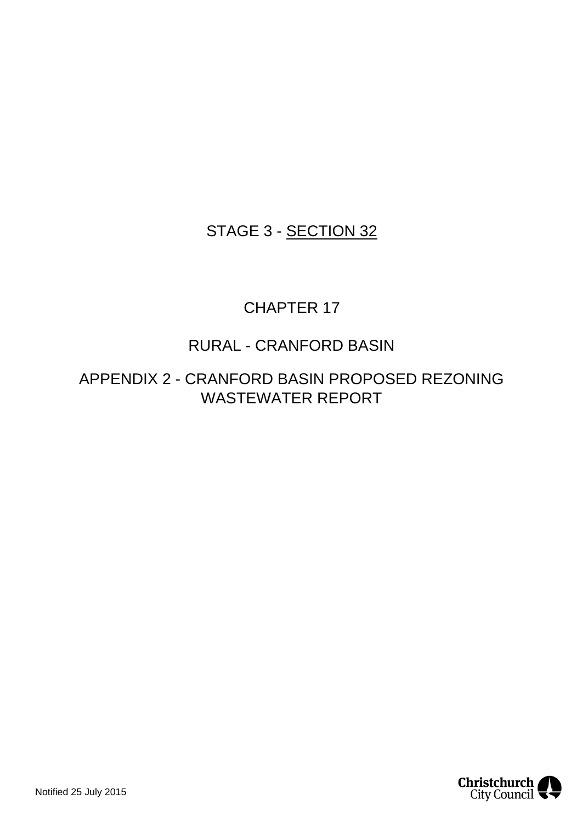### STAGE 3 - SECTION 32

### CHAPTER 17

### RURAL - CRANFORD BASIN

APPENDIX 2 - CRANFORD BASIN PROPOSED REZONING WASTEWATER REPORT

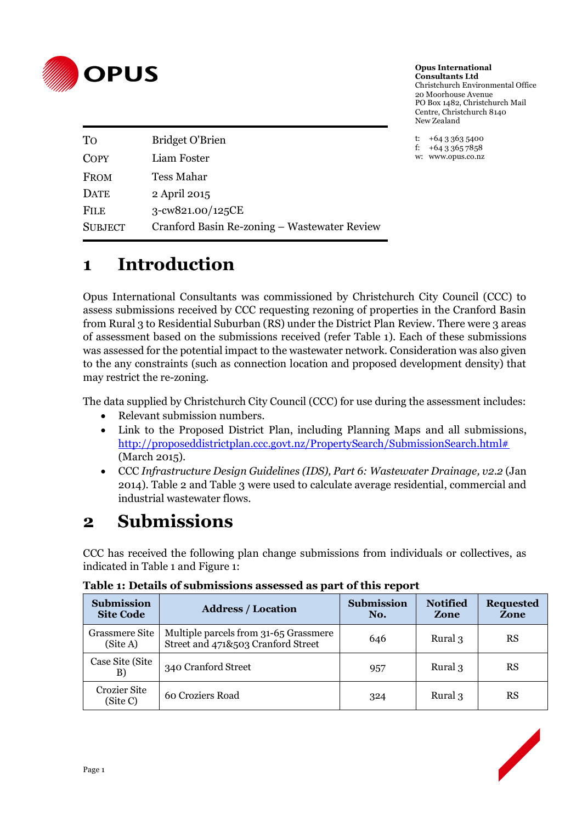

**Opus International Consultants Ltd** Christchurch Environmental Office 20 Moorhouse Avenue PO Box 1482, Christchurch Mail Centre, Christchurch 8140 New Zealand

t:  $+6433635400$ <br>f:  $+6433657858$ +64 3 365 7858 w: www.opus.co.nz

| To             | <b>Bridget O'Brien</b>                       |
|----------------|----------------------------------------------|
| COPY           | Liam Foster                                  |
| <b>FROM</b>    | Tess Mahar                                   |
| <b>DATE</b>    | 2 April 2015                                 |
| <b>FILE</b>    | 3-cw821.00/125CE                             |
| <b>SUBJECT</b> | Cranford Basin Re-zoning – Wastewater Review |

## **1 Introduction**

Opus International Consultants was commissioned by Christchurch City Council (CCC) to assess submissions received by CCC requesting rezoning of properties in the Cranford Basin from Rural 3 to Residential Suburban (RS) under the District Plan Review. There were 3 areas of assessment based on the submissions received (refer Table 1). Each of these submissions was assessed for the potential impact to the wastewater network. Consideration was also given to the any constraints (such as connection location and proposed development density) that may restrict the re-zoning.

The data supplied by Christchurch City Council (CCC) for use during the assessment includes:

- Relevant submission numbers.
- Link to the Proposed District Plan, including Planning Maps and all submissions, [http://proposeddistrictplan.ccc.govt.nz/PropertySearch/SubmissionSearch.html#](http://proposeddistrictplan.ccc.govt.nz/PropertySearch/SubmissionSearch.html) (March 2015).
- CCC *Infrastructure Design Guidelines (IDS), Part 6: Wastewater Drainage, v2.2* (Jan 2014). Table 2 and Table 3 were used to calculate average residential, commercial and industrial wastewater flows.

## **2 Submissions**

CCC has received the following plan change submissions from individuals or collectives, as indicated in Table 1 and Figure 1:

| Tuble 11 Details of Subfillissions assessed as part of this report |                                                                             |                          |                         |                          |  |  |  |
|--------------------------------------------------------------------|-----------------------------------------------------------------------------|--------------------------|-------------------------|--------------------------|--|--|--|
| <b>Submission</b><br><b>Site Code</b>                              | <b>Address / Location</b>                                                   | <b>Submission</b><br>No. | <b>Notified</b><br>Zone | <b>Requested</b><br>Zone |  |  |  |
| <b>Grassmere Site</b><br>(Site A)                                  | Multiple parcels from 31-65 Grassmere<br>Street and 471&503 Cranford Street | 646                      | Rural 3                 | <b>RS</b>                |  |  |  |
| Case Site (Site)<br>B)                                             | 340 Cranford Street                                                         | 957                      | Rural 3                 | <b>RS</b>                |  |  |  |
| <b>Crozier Site</b><br>(Site C)                                    | 60 Croziers Road                                                            | 324                      | Rural 3                 | RS                       |  |  |  |

**Table 1: Details of submissions assessed as part of this report**

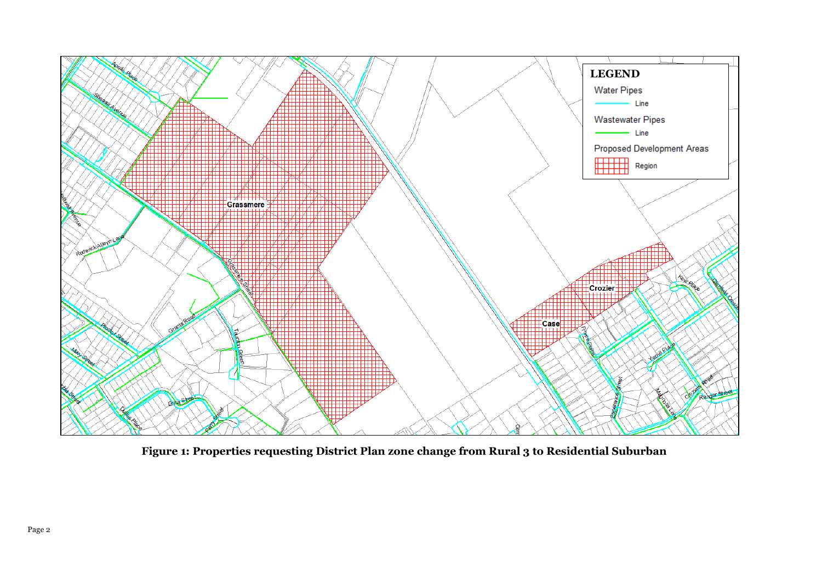

**Figure 1: Properties requesting District Plan zone change from Rural 3 to Residential Suburban**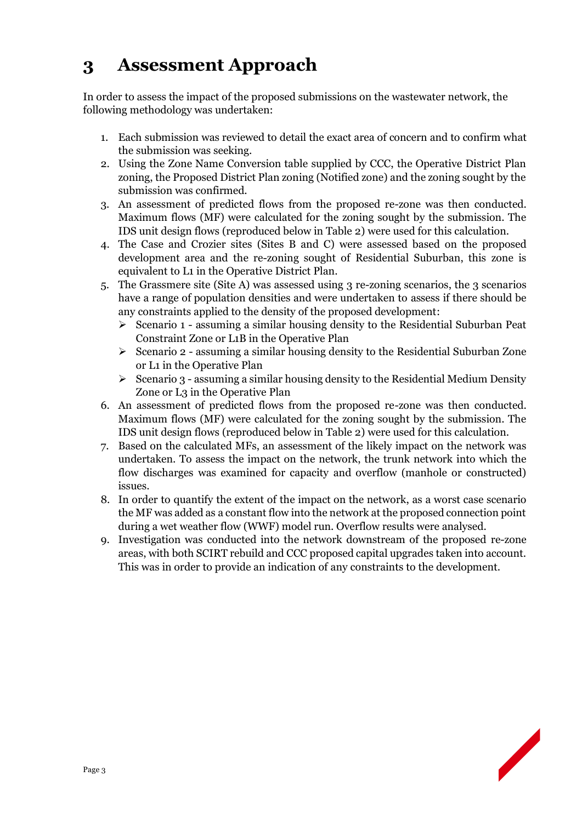# **3 Assessment Approach**

In order to assess the impact of the proposed submissions on the wastewater network, the following methodology was undertaken:

- 1. Each submission was reviewed to detail the exact area of concern and to confirm what the submission was seeking.
- 2. Using the Zone Name Conversion table supplied by CCC, the Operative District Plan zoning, the Proposed District Plan zoning (Notified zone) and the zoning sought by the submission was confirmed.
- 3. An assessment of predicted flows from the proposed re-zone was then conducted. Maximum flows (MF) were calculated for the zoning sought by the submission. The IDS unit design flows (reproduced below in Table 2) were used for this calculation.
- 4. The Case and Crozier sites (Sites B and C) were assessed based on the proposed development area and the re-zoning sought of Residential Suburban, this zone is equivalent to L1 in the Operative District Plan.
- 5. The Grassmere site (Site A) was assessed using 3 re-zoning scenarios, the 3 scenarios have a range of population densities and were undertaken to assess if there should be any constraints applied to the density of the proposed development:
	- $\triangleright$  Scenario 1 assuming a similar housing density to the Residential Suburban Peat Constraint Zone or L1B in the Operative Plan
	- $\triangleright$  Scenario 2 assuming a similar housing density to the Residential Suburban Zone or L1 in the Operative Plan
	- $\triangleright$  Scenario 3 assuming a similar housing density to the Residential Medium Density Zone or L3 in the Operative Plan
- 6. An assessment of predicted flows from the proposed re-zone was then conducted. Maximum flows (MF) were calculated for the zoning sought by the submission. The IDS unit design flows (reproduced below in Table 2) were used for this calculation.
- 7. Based on the calculated MFs, an assessment of the likely impact on the network was undertaken. To assess the impact on the network, the trunk network into which the flow discharges was examined for capacity and overflow (manhole or constructed) issues.
- 8. In order to quantify the extent of the impact on the network, as a worst case scenario the MF was added as a constant flow into the network at the proposed connection point during a wet weather flow (WWF) model run. Overflow results were analysed.
- 9. Investigation was conducted into the network downstream of the proposed re-zone areas, with both SCIRT rebuild and CCC proposed capital upgrades taken into account. This was in order to provide an indication of any constraints to the development.

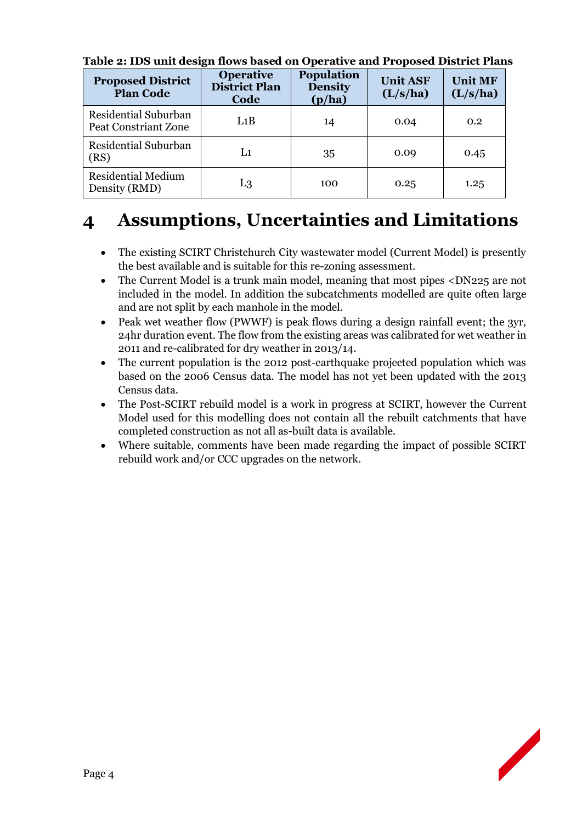| <b>Proposed District</b><br><b>Plan Code</b> | <b>Operative</b><br><b>District Plan</b><br>Code | <b>Population</b><br><b>Density</b><br>(p/ha) | <b>Unit ASF</b><br>(L/s/ha) | <b>Unit MF</b><br>(L/s/ha) |
|----------------------------------------------|--------------------------------------------------|-----------------------------------------------|-----------------------------|----------------------------|
| Residential Suburban<br>Peat Constriant Zone | L1B                                              | 14                                            | 0.04                        | 0.2                        |
| Residential Suburban<br>(RS)                 | L1                                               | 35                                            | 0.09                        | 0.45                       |
| <b>Residential Medium</b><br>Density (RMD)   | L3                                               | 100                                           | 0.25                        | 1.25                       |

**Table 2: IDS unit design flows based on Operative and Proposed District Plans**

## **4 Assumptions, Uncertainties and Limitations**

- The existing SCIRT Christchurch City wastewater model (Current Model) is presently the best available and is suitable for this re-zoning assessment.
- The Current Model is a trunk main model, meaning that most pipes <DN225 are not included in the model. In addition the subcatchments modelled are quite often large and are not split by each manhole in the model.
- Peak wet weather flow (PWWF) is peak flows during a design rainfall event; the 3yr, 24hr duration event. The flow from the existing areas was calibrated for wet weather in 2011 and re-calibrated for dry weather in 2013/14.
- The current population is the 2012 post-earthquake projected population which was based on the 2006 Census data. The model has not yet been updated with the 2013 Census data.
- The Post-SCIRT rebuild model is a work in progress at SCIRT, however the Current Model used for this modelling does not contain all the rebuilt catchments that have completed construction as not all as-built data is available.
- Where suitable, comments have been made regarding the impact of possible SCIRT rebuild work and/or CCC upgrades on the network.

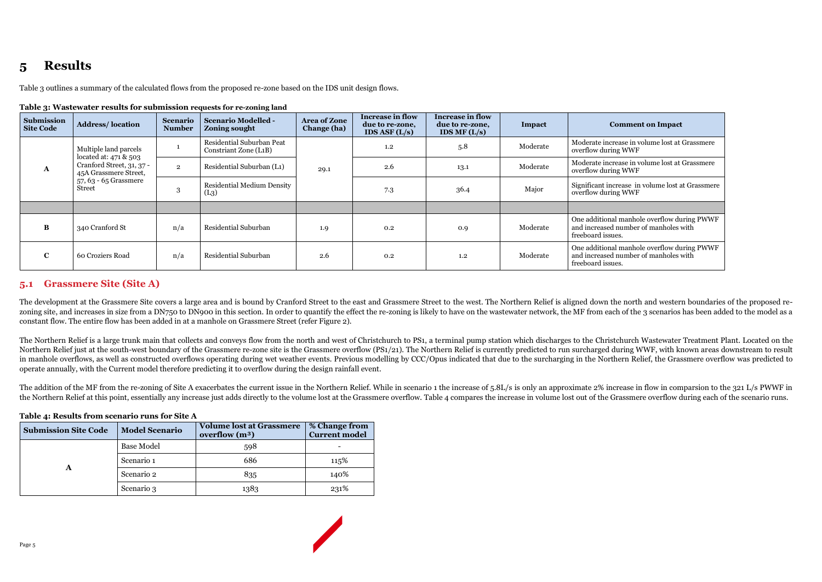# **5 Results**

Table 3 outlines a summary of the calculated flows from the proposed re-zone based on the IDS unit design flows.

| rapie ()) wastewater results for submission requests for re-homing land |                                                                             |                                        |                                  |                                                                 |                                    |                                                                                 |                                                              |                                                                      |                                                                                                           |
|-------------------------------------------------------------------------|-----------------------------------------------------------------------------|----------------------------------------|----------------------------------|-----------------------------------------------------------------|------------------------------------|---------------------------------------------------------------------------------|--------------------------------------------------------------|----------------------------------------------------------------------|-----------------------------------------------------------------------------------------------------------|
|                                                                         | Submission<br><b>Site Code</b>                                              | <b>Address/location</b>                | <b>Scenario</b><br><b>Number</b> | <b>Scenario Modelled -</b><br>Zoning sought                     | <b>Area of Zone</b><br>Change (ha) | <b>Increase in flow</b><br>due to re-zone,<br><b>IDS ASF <math>(L/s)</math></b> | <b>Increase in flow</b><br>due to re-zone,<br>IDS MF $(L/s)$ | Impact                                                               | <b>Comment on Impact</b>                                                                                  |
| A                                                                       |                                                                             | Multiple land parcels                  |                                  | Residential Suburban Peat<br>Constriant Zone (L <sub>1</sub> B) |                                    | 1.2                                                                             | 5.8                                                          | Moderate                                                             | Moderate increase in volume lost at Grassmere<br>overflow during WWF                                      |
|                                                                         | located at: 471 & 503<br>Cranford Street, 31, 37 -<br>45A Grassmere Street, | $\overline{2}$                         | Residential Suburban (L1)        | 29.1                                                            | 2.6                                | 13.1                                                                            | Moderate                                                     | Moderate increase in volume lost at Grassmere<br>overflow during WWF |                                                                                                           |
|                                                                         |                                                                             | 57, 63 - 65 Grassmere<br><b>Street</b> | 3                                | <b>Residential Medium Density</b><br>(L <sub>3</sub> )          |                                    | 7.3                                                                             | 36.4                                                         | Major                                                                | Significant increase in volume lost at Grassmere<br>overflow during WWF                                   |
|                                                                         |                                                                             |                                        |                                  |                                                                 |                                    |                                                                                 |                                                              |                                                                      |                                                                                                           |
|                                                                         | B                                                                           | 340 Cranford St                        | n/a                              | Residential Suburban                                            | 1.9                                | 0.2                                                                             | 0.9                                                          | Moderate                                                             | One additional manhole overflow during PWWF<br>and increased number of manholes with<br>freeboard issues. |
|                                                                         | C                                                                           | 60 Croziers Road                       | n/a                              | Residential Suburban                                            | 2.6                                | 0.2                                                                             | 1.2                                                          | Moderate                                                             | One additional manhole overflow during PWWF<br>and increased number of manholes with<br>freeboard issues. |

**Table 3: Wastewater results for submission requests for re-zoning land**

The development at the Grassmere Site covers a large area and is bound by Cranford Street to the east and Grassmere Street to the west. The Northern Relief is aligned down the north and western boundaries of the proposed r zoning site, and increases in size from a DN750 to DN900 in this section. In order to quantify the effect the re-zoning is likely to have on the wastewater network, the MF from each of the 3 scenarios has been added to the constant flow. The entire flow has been added in at a manhole on Grassmere Street (refer Figure 2).

### **5.1 Grassmere Site (Site A)**

The Northern Relief is a large trunk main that collects and conveys flow from the north and west of Christchurch to PS1, a terminal pump station which discharges to the Christchurch Wastewater Treatment Plant. Located on the Northern Relief just at the south-west boundary of the Grassmere re-zone site is the Grassmere overflow (PS1/21). The Northern Relief is currently predicted to run surcharged during WWF, with known areas downstream to result in manhole overflows, as well as constructed overflows operating during wet weather events. Previous modelling by CCC/Opus indicated that due to the surcharging in the Northern Relief, the Grassmere overflow was predicted to operate annually, with the Current model therefore predicting it to overflow during the design rainfall event.

The addition of the MF from the re-zoning of Site A exacerbates the current issue in the Northern Relief. While in scenario 1 the increase of 5.8L/s is only an approximate 2% increase in flow in comparsion to the 321 L/s P the Northern Relief at this point, essentially any increase just adds directly to the volume lost at the Grassmere overflow. Table 4 compares the increase in volume lost out of the Grassmere overflow during each of the sce

#### **Table 4: Results from scenario runs for Site A**

| <b>Submission Site Code</b> | <b>Model Scenario</b> | <b>Volume lost at Grassmere</b><br>overflow $(m^3)$ | % Change from<br><b>Current model</b> |
|-----------------------------|-----------------------|-----------------------------------------------------|---------------------------------------|
|                             | <b>Base Model</b>     | 598                                                 |                                       |
|                             | Scenario 1            | 686                                                 | 115%                                  |
| A                           | Scenario 2            | 835                                                 | 140%                                  |
|                             | Scenario 3            | 1383                                                | 231%                                  |

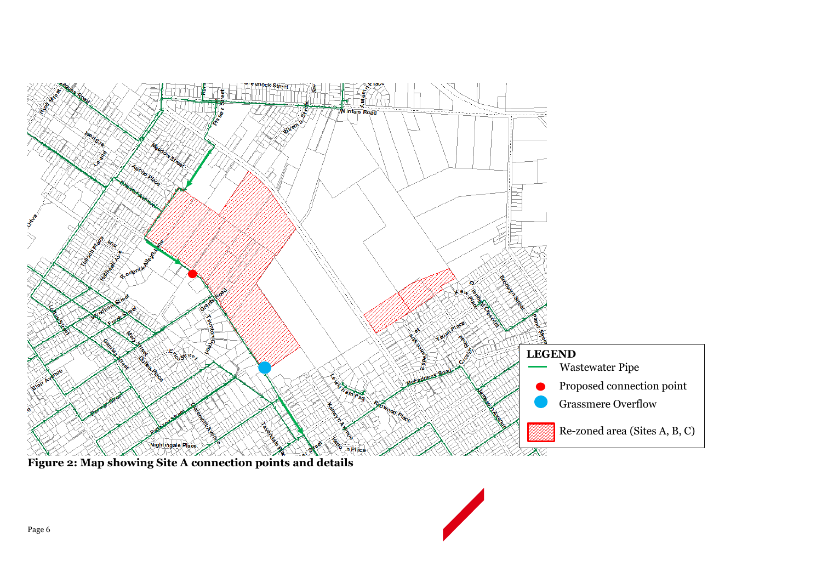

**Figure 2: Map showing Site A connection points and details**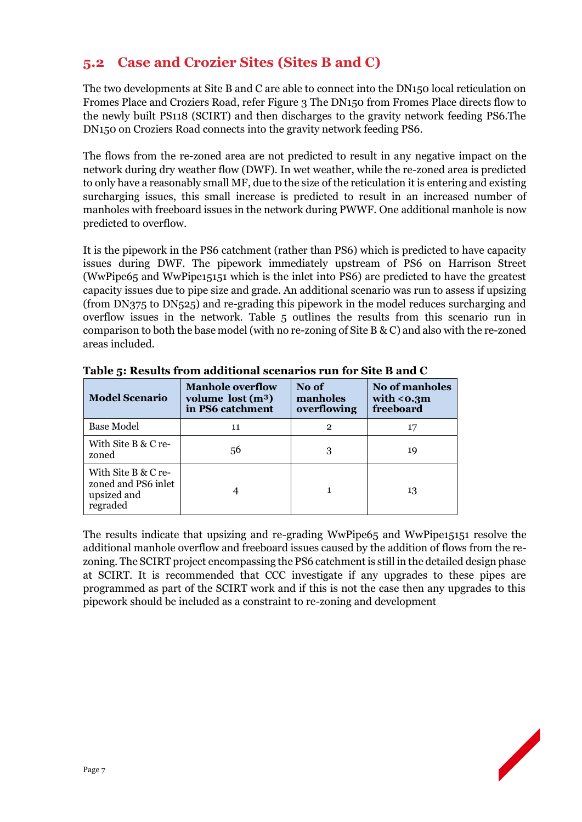### **5.2 Case and Crozier Sites (Sites B and C)**

The two developments at Site B and C are able to connect into the DN150 local reticulation on Fromes Place and Croziers Road, refer Figure 3 The DN150 from Fromes Place directs flow to the newly built PS118 (SCIRT) and then discharges to the gravity network feeding PS6.The DN150 on Croziers Road connects into the gravity network feeding PS6.

The flows from the re-zoned area are not predicted to result in any negative impact on the network during dry weather flow (DWF). In wet weather, while the re-zoned area is predicted to only have a reasonably small MF, due to the size of the reticulation it is entering and existing surcharging issues, this small increase is predicted to result in an increased number of manholes with freeboard issues in the network during PWWF. One additional manhole is now predicted to overflow.

It is the pipework in the PS6 catchment (rather than PS6) which is predicted to have capacity issues during DWF. The pipework immediately upstream of PS6 on Harrison Street (WwPipe65 and WwPipe15151 which is the inlet into PS6) are predicted to have the greatest capacity issues due to pipe size and grade. An additional scenario was run to assess if upsizing (from DN375 to DN525) and re-grading this pipework in the model reduces surcharging and overflow issues in the network. Table 5 outlines the results from this scenario run in comparison to both the base model (with no re-zoning of Site B & C) and also with the re-zoned areas included.

| <b>Model Scenario</b>                                                 | <b>Manhole overflow</b><br>volume $lost(m3)$<br>in PS6 catchment | No of<br>manholes<br>overflowing | No of manholes<br>with $<$ 0.3m<br>freeboard |  |
|-----------------------------------------------------------------------|------------------------------------------------------------------|----------------------------------|----------------------------------------------|--|
| <b>Base Model</b>                                                     | 11                                                               | 2                                | 17                                           |  |
| With Site B & C re-<br>zoned                                          | 56                                                               |                                  | 19                                           |  |
| With Site B & C re-<br>zoned and PS6 inlet<br>upsized and<br>regraded |                                                                  |                                  | 13                                           |  |

**Table 5: Results from additional scenarios run for Site B and C**

The results indicate that upsizing and re-grading WwPipe65 and WwPipe15151 resolve the additional manhole overflow and freeboard issues caused by the addition of flows from the rezoning. The SCIRT project encompassing the PS6 catchment is still in the detailed design phase at SCIRT. It is recommended that CCC investigate if any upgrades to these pipes are programmed as part of the SCIRT work and if this is not the case then any upgrades to this pipework should be included as a constraint to re-zoning and development

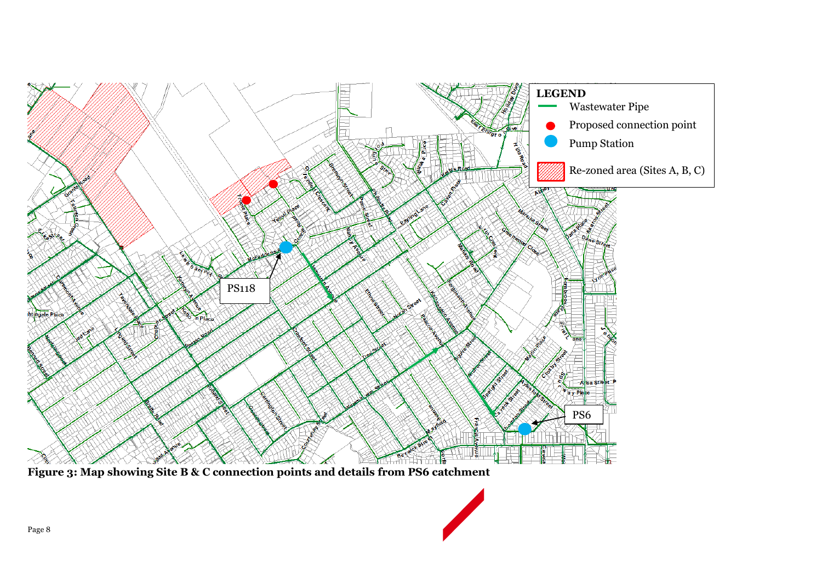

**Figure 3: Map showing Site B & C connection points and details from PS6 catchment**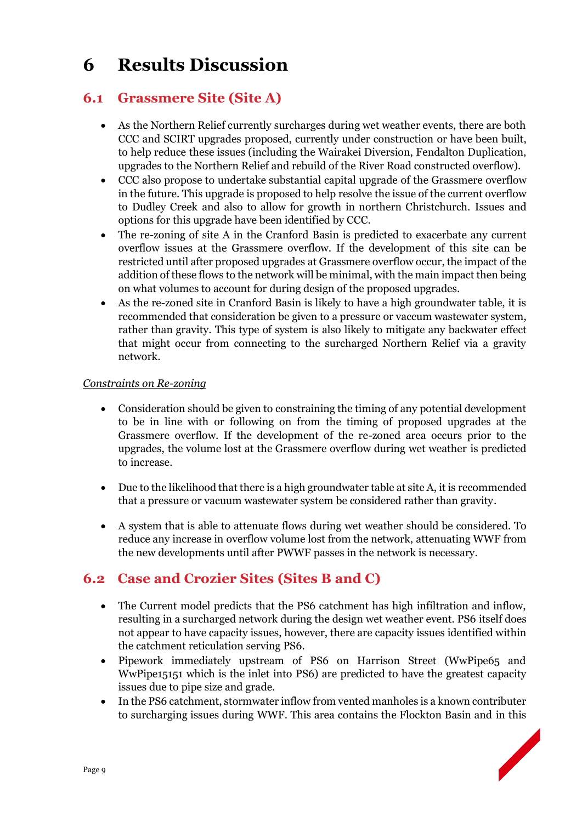# **6 Results Discussion**

### **6.1 Grassmere Site (Site A)**

- As the Northern Relief currently surcharges during wet weather events, there are both CCC and SCIRT upgrades proposed, currently under construction or have been built, to help reduce these issues (including the Wairakei Diversion, Fendalton Duplication, upgrades to the Northern Relief and rebuild of the River Road constructed overflow).
- CCC also propose to undertake substantial capital upgrade of the Grassmere overflow in the future. This upgrade is proposed to help resolve the issue of the current overflow to Dudley Creek and also to allow for growth in northern Christchurch. Issues and options for this upgrade have been identified by CCC.
- The re-zoning of site A in the Cranford Basin is predicted to exacerbate any current overflow issues at the Grassmere overflow. If the development of this site can be restricted until after proposed upgrades at Grassmere overflow occur, the impact of the addition of these flows to the network will be minimal, with the main impact then being on what volumes to account for during design of the proposed upgrades.
- As the re-zoned site in Cranford Basin is likely to have a high groundwater table, it is recommended that consideration be given to a pressure or vaccum wastewater system, rather than gravity. This type of system is also likely to mitigate any backwater effect that might occur from connecting to the surcharged Northern Relief via a gravity network.

#### *Constraints on Re-zoning*

- Consideration should be given to constraining the timing of any potential development to be in line with or following on from the timing of proposed upgrades at the Grassmere overflow. If the development of the re-zoned area occurs prior to the upgrades, the volume lost at the Grassmere overflow during wet weather is predicted to increase.
- Due to the likelihood that there is a high groundwater table at site A, it is recommended that a pressure or vacuum wastewater system be considered rather than gravity.
- A system that is able to attenuate flows during wet weather should be considered. To reduce any increase in overflow volume lost from the network, attenuating WWF from the new developments until after PWWF passes in the network is necessary.

### **6.2 Case and Crozier Sites (Sites B and C)**

- The Current model predicts that the PS6 catchment has high infiltration and inflow, resulting in a surcharged network during the design wet weather event. PS6 itself does not appear to have capacity issues, however, there are capacity issues identified within the catchment reticulation serving PS6.
- Pipework immediately upstream of PS6 on Harrison Street (WwPipe65 and WwPipe15151 which is the inlet into PS6) are predicted to have the greatest capacity issues due to pipe size and grade.
- In the PS6 catchment, stormwater inflow from vented manholes is a known contributer to surcharging issues during WWF. This area contains the Flockton Basin and in this

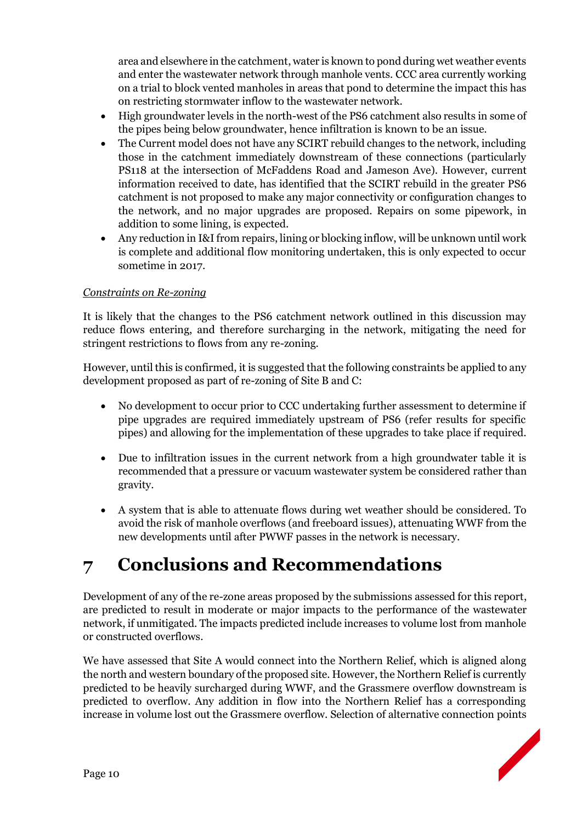area and elsewhere in the catchment, water is known to pond during wet weather events and enter the wastewater network through manhole vents. CCC area currently working on a trial to block vented manholes in areas that pond to determine the impact this has on restricting stormwater inflow to the wastewater network.

- High groundwater levels in the north-west of the PS6 catchment also results in some of the pipes being below groundwater, hence infiltration is known to be an issue.
- The Current model does not have any SCIRT rebuild changes to the network, including those in the catchment immediately downstream of these connections (particularly PS118 at the intersection of McFaddens Road and Jameson Ave). However, current information received to date, has identified that the SCIRT rebuild in the greater PS6 catchment is not proposed to make any major connectivity or configuration changes to the network, and no major upgrades are proposed. Repairs on some pipework, in addition to some lining, is expected.
- Any reduction in I&I from repairs, lining or blocking inflow, will be unknown until work is complete and additional flow monitoring undertaken, this is only expected to occur sometime in 2017.

#### *Constraints on Re-zoning*

It is likely that the changes to the PS6 catchment network outlined in this discussion may reduce flows entering, and therefore surcharging in the network, mitigating the need for stringent restrictions to flows from any re-zoning.

However, until this is confirmed, it is suggested that the following constraints be applied to any development proposed as part of re-zoning of Site B and C:

- No development to occur prior to CCC undertaking further assessment to determine if pipe upgrades are required immediately upstream of PS6 (refer results for specific pipes) and allowing for the implementation of these upgrades to take place if required.
- Due to infiltration issues in the current network from a high groundwater table it is recommended that a pressure or vacuum wastewater system be considered rather than gravity.
- A system that is able to attenuate flows during wet weather should be considered. To avoid the risk of manhole overflows (and freeboard issues), attenuating WWF from the new developments until after PWWF passes in the network is necessary.

# **7 Conclusions and Recommendations**

Development of any of the re-zone areas proposed by the submissions assessed for this report, are predicted to result in moderate or major impacts to the performance of the wastewater network, if unmitigated. The impacts predicted include increases to volume lost from manhole or constructed overflows.

We have assessed that Site A would connect into the Northern Relief, which is aligned along the north and western boundary of the proposed site. However, the Northern Relief is currently predicted to be heavily surcharged during WWF, and the Grassmere overflow downstream is predicted to overflow. Any addition in flow into the Northern Relief has a corresponding increase in volume lost out the Grassmere overflow. Selection of alternative connection points